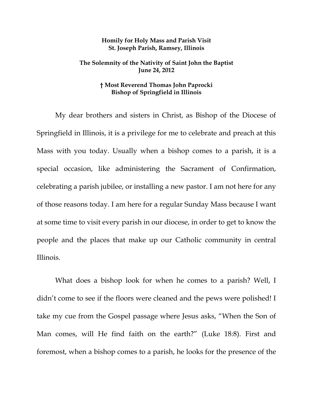## **Homily for Holy Mass and Parish Visit St. Joseph Parish, Ramsey, Illinois**

## **The Solemnity of the Nativity of Saint John the Baptist June 24, 2012**

## **† Most Reverend Thomas John Paprocki Bishop of Springfield in Illinois**

My dear brothers and sisters in Christ, as Bishop of the Diocese of Springfield in Illinois, it is a privilege for me to celebrate and preach at this Mass with you today. Usually when a bishop comes to a parish, it is a special occasion, like administering the Sacrament of Confirmation, celebrating a parish jubilee, or installing a new pastor. I am not here for any of those reasons today. I am here for a regular Sunday Mass because I want at some time to visit every parish in our diocese, in order to get to know the people and the places that make up our Catholic community in central Illinois.

What does a bishop look for when he comes to a parish? Well, I didn't come to see if the floors were cleaned and the pews were polished! I take my cue from the Gospel passage where Jesus asks, "When the Son of Man comes, will He find faith on the earth?" (Luke 18:8). First and foremost, when a bishop comes to a parish, he looks for the presence of the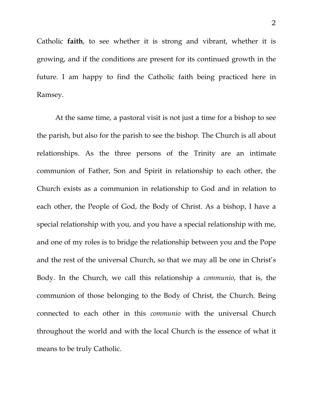Catholic **faith**, to see whether it is strong and vibrant, whether it is growing, and if the conditions are present for its continued growth in the future. I am happy to find the Catholic faith being practiced here in Ramsey.

At the same time, a pastoral visit is not just a time for a bishop to see the parish, but also for the parish to see the bishop. The Church is all about relationships. As the three persons of the Trinity are an intimate communion of Father, Son and Spirit in relationship to each other, the Church exists as a communion in relationship to God and in relation to each other, the People of God, the Body of Christ. As a bishop, I have a special relationship with you, and you have a special relationship with me, and one of my roles is to bridge the relationship between you and the Pope and the rest of the universal Church, so that we may all be one in Christ's Body. In the Church, we call this relationship a *communio*, that is, the communion of those belonging to the Body of Christ, the Church. Being connected to each other in this *communio* with the universal Church throughout the world and with the local Church is the essence of what it means to be truly Catholic.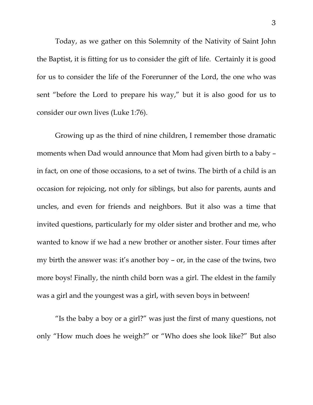Today, as we gather on this Solemnity of the Nativity of Saint John the Baptist, it is fitting for us to consider the gift of life. Certainly it is good for us to consider the life of the Forerunner of the Lord, the one who was sent "before the Lord to prepare his way," but it is also good for us to consider our own lives (Luke 1:76).

Growing up as the third of nine children, I remember those dramatic moments when Dad would announce that Mom had given birth to a baby – in fact, on one of those occasions, to a set of twins. The birth of a child is an occasion for rejoicing, not only for siblings, but also for parents, aunts and uncles, and even for friends and neighbors. But it also was a time that invited questions, particularly for my older sister and brother and me, who wanted to know if we had a new brother or another sister. Four times after my birth the answer was: it's another boy – or, in the case of the twins, two more boys! Finally, the ninth child born was a girl. The eldest in the family was a girl and the youngest was a girl, with seven boys in between!

"Is the baby a boy or a girl?" was just the first of many questions, not only "How much does he weigh?" or "Who does she look like?" But also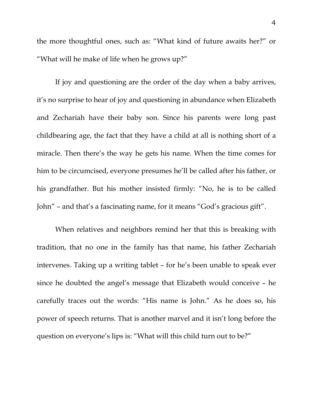the more thoughtful ones, such as: "What kind of future awaits her?" or "What will he make of life when he grows up?"

If joy and questioning are the order of the day when a baby arrives, it's no surprise to hear of joy and questioning in abundance when Elizabeth and Zechariah have their baby son. Since his parents were long past childbearing age, the fact that they have a child at all is nothing short of a miracle. Then there's the way he gets his name. When the time comes for him to be circumcised, everyone presumes he'll be called after his father, or his grandfather. But his mother insisted firmly: "No, he is to be called John" – and that's a fascinating name, for it means "God's gracious gift".

 When relatives and neighbors remind her that this is breaking with tradition, that no one in the family has that name, his father Zechariah intervenes. Taking up a writing tablet – for he's been unable to speak ever since he doubted the angel's message that Elizabeth would conceive – he carefully traces out the words: "His name is John." As he does so, his power of speech returns. That is another marvel and it isn't long before the question on everyone's lips is: "What will this child turn out to be?"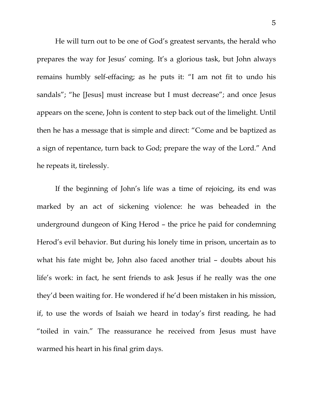He will turn out to be one of God's greatest servants, the herald who prepares the way for Jesus' coming. It's a glorious task, but John always remains humbly self-effacing; as he puts it: "I am not fit to undo his sandals"; "he [Jesus] must increase but I must decrease"; and once Jesus appears on the scene, John is content to step back out of the limelight. Until then he has a message that is simple and direct: "Come and be baptized as a sign of repentance, turn back to God; prepare the way of the Lord." And he repeats it, tirelessly.

If the beginning of John's life was a time of rejoicing, its end was marked by an act of sickening violence: he was beheaded in the underground dungeon of King Herod – the price he paid for condemning Herod's evil behavior. But during his lonely time in prison, uncertain as to what his fate might be, John also faced another trial – doubts about his life's work: in fact, he sent friends to ask Jesus if he really was the one they'd been waiting for. He wondered if he'd been mistaken in his mission, if, to use the words of Isaiah we heard in today's first reading, he had "toiled in vain." The reassurance he received from Jesus must have warmed his heart in his final grim days.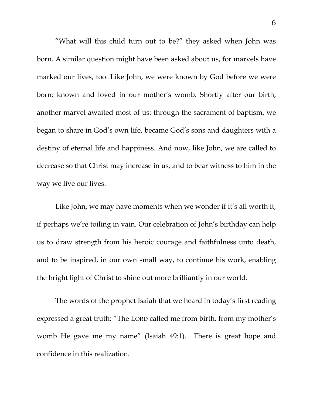"What will this child turn out to be?" they asked when John was born. A similar question might have been asked about us, for marvels have marked our lives, too. Like John, we were known by God before we were born; known and loved in our mother's womb. Shortly after our birth, another marvel awaited most of us: through the sacrament of baptism, we began to share in God's own life, became God's sons and daughters with a destiny of eternal life and happiness. And now, like John, we are called to decrease so that Christ may increase in us, and to bear witness to him in the way we live our lives.

Like John, we may have moments when we wonder if it's all worth it, if perhaps we're toiling in vain. Our celebration of John's birthday can help us to draw strength from his heroic courage and faithfulness unto death, and to be inspired, in our own small way, to continue his work, enabling the bright light of Christ to shine out more brilliantly in our world.

 The words of the prophet Isaiah that we heard in today's first reading expressed a great truth: "The LORD called me from birth, from my mother's womb He gave me my name" (Isaiah 49:1). There is great hope and confidence in this realization.